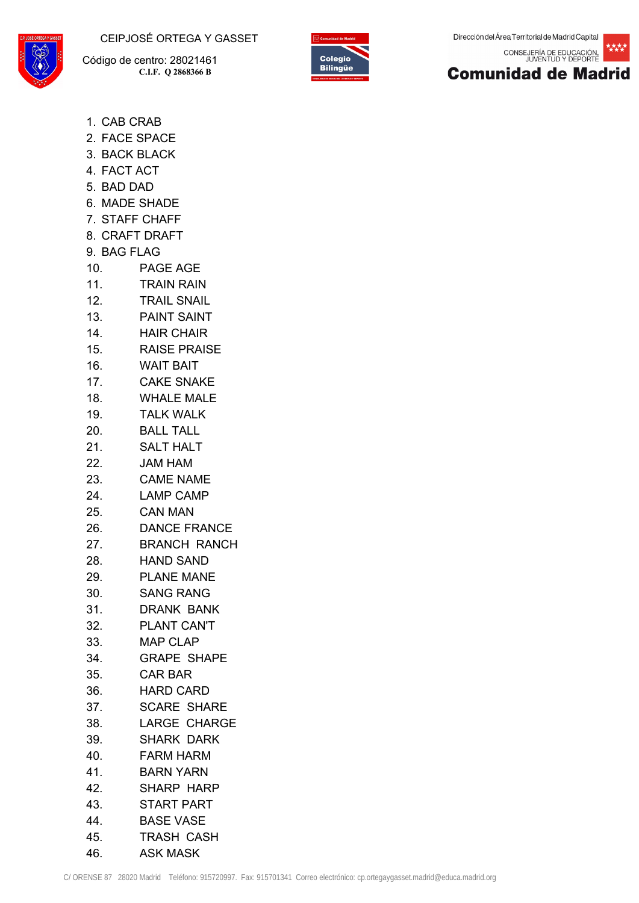CEIPJOSÉ ORTEGA Y GASSET



 Código de centro: 28021461 **C.I.F. Q 2868366 B**



Dirección del Área Territorial de Madrid Capital

枕枕枕 CONSEJERÍA DE EDUCACIÓN,<br>JUVENTUD Y DEPORTE



- 1. CAB CRAB
- 2. FACE SPACE
- 3. BACK BLACK
- 4. FACT ACT
- 5. BAD DAD
- 6. MADE SHADE
- 7. STAFF CHAFF
- 8. CRAFT DRAFT
- 9. BAG FLAG
- 10. PAGE AGE
- 11. TRAIN RAIN
- 12. TRAIL SNAIL
- 13. PAINT SAINT
- 14. HAIR CHAIR
- 15. RAISE PRAISE
- 16. WAIT BAIT
- 17. CAKE SNAKE
- 18. WHALE MALE
- 19. TALK WALK
- 20. BALL TALL
- 21. SALT HALT
- 22. JAM HAM
- 23. CAME NAME
- 24. LAMP CAMP
- 25. CAN MAN
- 26. DANCE FRANCE
- 27. BRANCH RANCH
- 28. HAND SAND
- 29. PLANE MANE
- 30. SANG RANG
- 31. DRANK BANK
- 32. PLANT CAN'T
- 33. MAP CLAP
- 34. GRAPE SHAPE
- 35. CAR BAR
- 36. HARD CARD
- 37. SCARE SHARE
- 38. LARGE CHARGE
- 39. SHARK DARK
- 40. FARM HARM
- 41. BARN YARN
- 42. SHARP HARP
- 43. START PART
- 44. BASE VASE
- 45. TRASH CASH
- 46. ASK MASK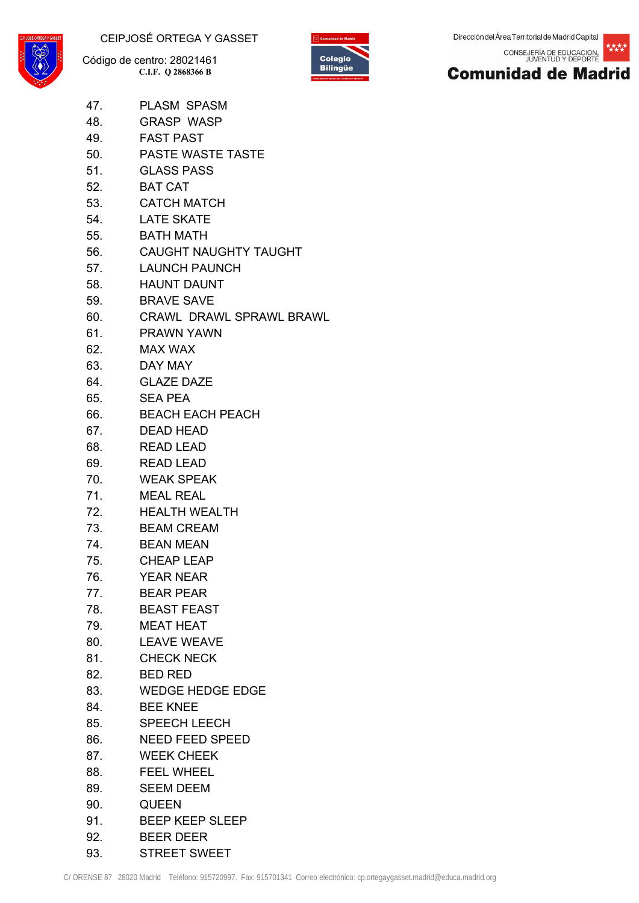



なたたむ CONSEJERÍA DE EDUCACIÓN,<br>JUVENTUD Y DEPORTE



- 47. PLASM SPASM
- 48. GRASP WASP
- 49. FAST PAST
- 50. PASTE WASTE TASTE
- 51. GLASS PASS
- 52. BAT CAT
- 53. CATCH MATCH
- 54. LATE SKATE
- 55. BATH MATH
- 56. CAUGHT NAUGHTY TAUGHT
- 57. LAUNCH PAUNCH
- 58. HAUNT DAUNT
- 59. BRAVE SAVE
- 60. CRAWL DRAWL SPRAWL BRAWL
- 61. PRAWN YAWN
- 62. MAX WAX
- 63. DAY MAY
- 64. GLAZE DAZE
- 65. SEA PEA
- 66. BEACH EACH PEACH
- 67. DEAD HEAD
- 68. READ LEAD
- 69. READ LEAD
- 70. WEAK SPEAK
- 71. MEAL REAL
- 72. HEALTH WEALTH
- 73. BEAM CREAM
- 74. BEAN MEAN
- 75. CHEAP LEAP
- 76. YEAR NEAR
- 77. BEAR PEAR
- 78. BEAST FEAST
- 79. MEAT HEAT
- 80. LEAVE WEAVE
- 81. CHECK NECK
- 82. BED RED
- 83. WEDGE HEDGE EDGE
- 84. BEE KNEE
- 85. SPEECH LEECH
- 86. NEED FEED SPEED
- 87. WEEK CHEEK
- 88. FEEL WHEEL
- 89. SEEM DEEM
- 90. QUEEN
- 91. BEEP KEEP SLEEP
- 92. BEER DEER
- 93. STREET SWEET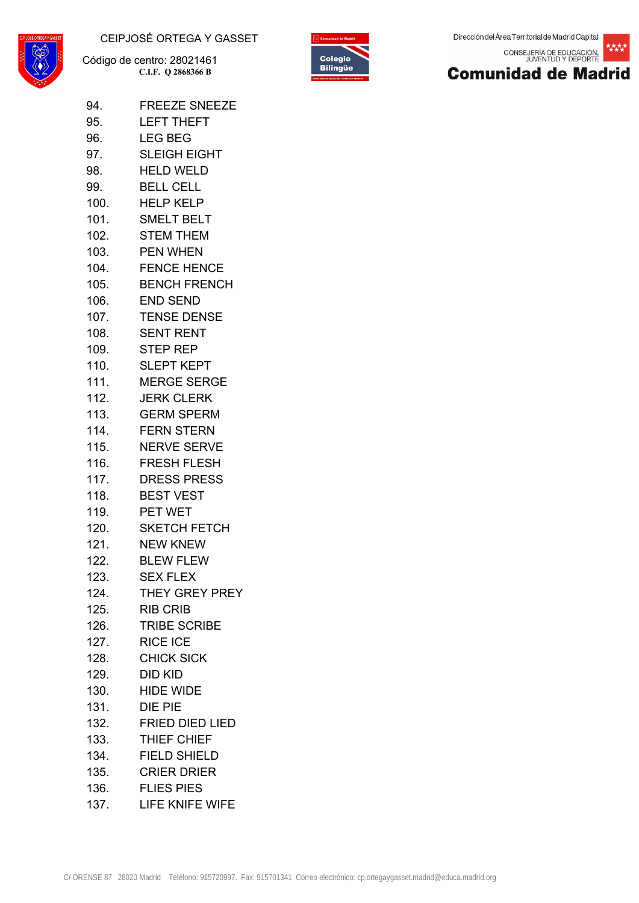

94. FREEZE SNEEZE 95. LEFT THEFT

 Código de centro: 28021461 **C.I.F. Q 2868366 B**



核糖 CONSEJERÍA DE EDUCACIÓN,<br>JUVENTUD Y DEPORTE



| 96.  | <b>LEG BEG</b>         |
|------|------------------------|
| 97.  | <b>SLEIGH EIGHT</b>    |
| 98.  | <b>HELD WELD</b>       |
| 99.  | <b>BELL CELL</b>       |
| 100. | <b>HELP KELP</b>       |
|      | 101. SMELT BELT        |
| 102. | <b>STEM THEM</b>       |
|      | 103. PEN WHEN          |
| 104. | <b>FENCE HENCE</b>     |
|      | 105. BENCH FRENCH      |
| 106. | <b>END SEND</b>        |
| 107. | <b>TENSE DENSE</b>     |
|      | 108. SENT RENT         |
|      | 109. STEP REP          |
| 110. | SLEPT KEPT             |
|      | 111. MERGE SERGE       |
|      | 112. JERK CLERK        |
| 113. | <b>GERM SPERM</b>      |
|      | 114. FERN STERN        |
| 115. | <b>NERVE SERVE</b>     |
|      | 116. FRESH FLESH       |
| 117. | <b>DRESS PRESS</b>     |
|      | 118. BEST VEST         |
| 119. | PET WET                |
|      | 120. SKETCH FETCH      |
| 121. | <b>NEW KNEW</b>        |
|      | 122. BLEW FLEW         |
| 123. | <b>SEX FLEX</b>        |
| 124. | THEY GREY PREY         |
| 125. | <b>RIB CRIB</b>        |
| 126. | <b>TRIBE SCRIBE</b>    |
| 127. | <b>RICE ICE</b>        |
| 128. | <b>CHICK SICK</b>      |
| 129. | DID KID                |
| 130. | <b>HIDE WIDE</b>       |
| 131. | DIE PIE                |
| 132. | <b>FRIED DIED LIED</b> |
| 133. | THIEF CHIEF            |
| 134. | <b>FIELD SHIELD</b>    |
|      | 135. CRIER DRIER       |
| 136. | <b>FLIES PIES</b>      |
| 137. | LIFE KNIFE WIFE        |
|      |                        |
|      |                        |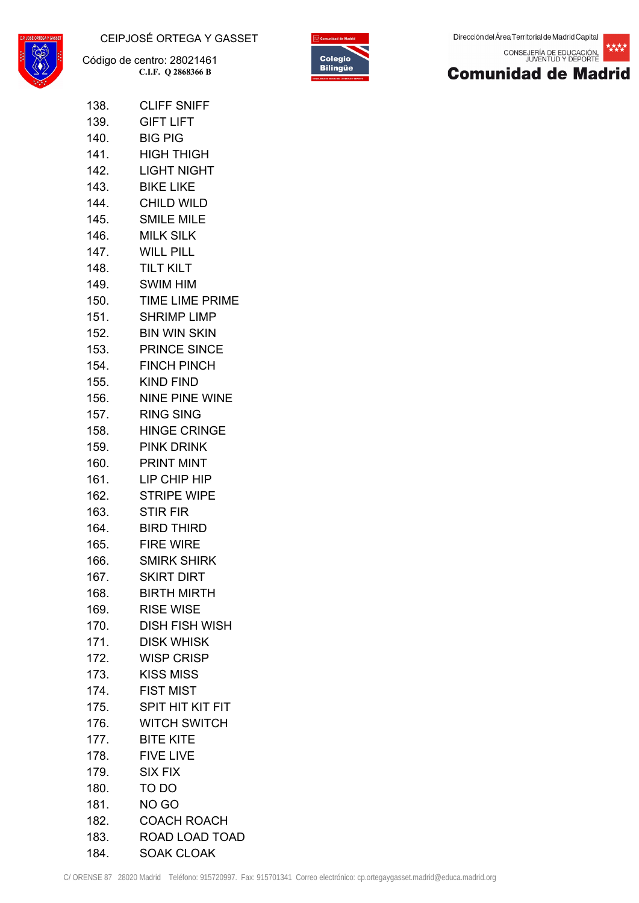



\*\*\*\* CONSEJERÍA DE EDUCACIÓN,<br>JUVENTUD Y DEPORTE



| 138.   | <b>CLIFF SNIFF</b>      |
|--------|-------------------------|
| 139.   | <b>GIFT LIFT</b>        |
|        | <b>BIG PIG</b>          |
| 141.   | <b>HIGH THIGH</b>       |
| 142.   | LIGHT NIGHT             |
| 143.   | <b>BIKE LIKE</b>        |
| 144.   | CHILD WILD              |
| 145.   | <b>SMILE MILE</b>       |
| 146.   | MILK SILK               |
| 147.   | <b>WILL PILL</b>        |
| 148. . | <b>TILT KILT</b>        |
| 149.   | SWIM HIM                |
| 150.   | TIME LIME PRIME         |
| 151.   | SHRIMP LIMP             |
| 152.   | <b>BIN WIN SKIN</b>     |
| 153.   | <b>PRINCE SINCE</b>     |
| 154.   | <b>FINCH PINCH</b>      |
| 155.   | <b>KIND FIND</b>        |
| 156.   | <b>NINE PINE WINE</b>   |
| 157.   | RING SING               |
| 158.   | <b>HINGE CRINGE</b>     |
|        | <b>PINK DRINK</b>       |
| 160.   | <b>PRINT MINT</b>       |
|        | LIP CHIP HIP            |
| 162.   | <b>STRIPE WIPE</b>      |
| 163.   | <b>STIR FIR</b>         |
| 164.   | <b>BIRD THIRD</b>       |
| 165.   | <b>FIRE WIRE</b>        |
| 166.   | SMIRK SHIRK             |
| 167.   | <b>SKIRT DIRT</b>       |
| 168.   | <b>BIRTH MIRTH</b>      |
| 169.   | <b>RISE WISE</b>        |
| 170.   | <b>DISH FISH WISH</b>   |
| 171.   | <b>DISK WHISK</b>       |
| 172.   | <b>WISP CRISP</b>       |
| 173.   | <b>KISS MISS</b>        |
| 174.   | <b>FIST MIST</b>        |
| 175.   | <b>SPIT HIT KIT FIT</b> |
| 176.   | <b>WITCH SWITCH</b>     |
| 177.   | <b>BITE KITE</b>        |
| 178.   | <b>FIVE LIVE</b>        |
| 179.   | <b>SIX FIX</b>          |
| 180.   | TO DO                   |
| 181.   | NO GO                   |
| 182.   | <b>COACH ROACH</b>      |

184. SOAK CLOAK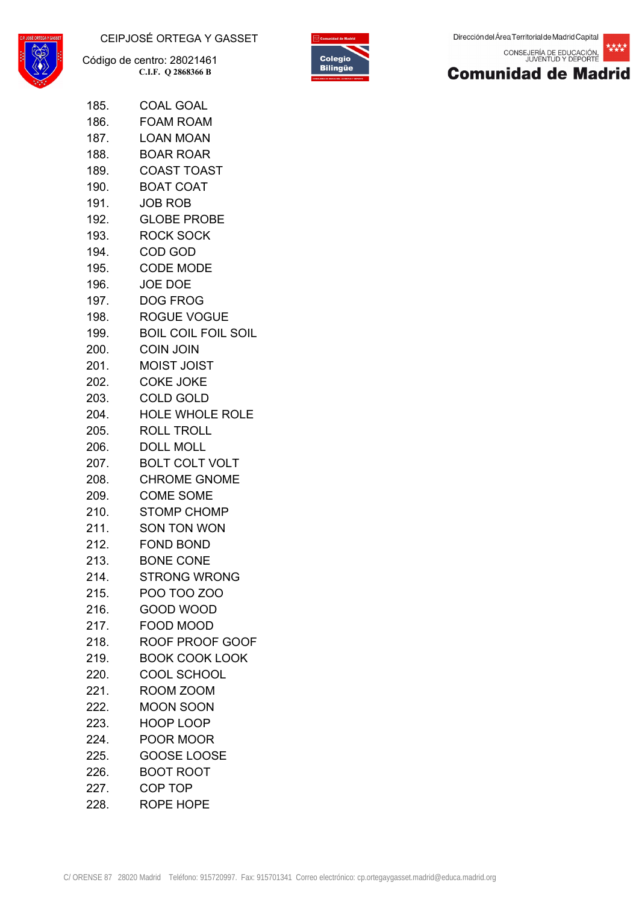



核糖 CONSEJERÍA DE EDUCACIÓN,<br>JUVENTUD Y DEPORTE



| 185. | <b>COAL GOAL</b>           |
|------|----------------------------|
| 186. | <b>FOAM ROAM</b>           |
| 187. | <b>LOAN MOAN</b>           |
| 188. | <b>BOAR ROAR</b>           |
|      | 189. COAST TOAST           |
| 190. | <b>BOAT COAT</b>           |
|      | 191. JOB ROB               |
| 192. | <b>GLOBE PROBE</b>         |
|      | 193. ROCK SOCK             |
|      | 194. COD GOD               |
|      | 195. CODE MODE             |
| 196. | JOE DOE                    |
| 197. | <b>DOG FROG</b>            |
| 198. | <b>ROGUE VOGUE</b>         |
| 199. | <b>BOIL COIL FOIL SOIL</b> |
|      | 200. COIN JOIN             |
| 201. | <b>MOIST JOIST</b>         |
|      | 202. COKE JOKE             |
| 203. | <b>COLD GOLD</b>           |
|      | 204. HOLE WHOLE ROLE       |
| 205. | <b>ROLL TROLL</b>          |
|      | <b>DOLL MOLL</b>           |
| 207. | <b>BOLT COLT VOLT</b>      |
| 208. | <b>CHROME GNOME</b>        |
| 209. | <b>COME SOME</b>           |
|      | 210. STOMP CHOMP           |
| 211. | <b>SON TON WON</b>         |
|      | 212. FOND BOND             |
| 213. | <b>BONE CONE</b>           |
| 214. | <b>STRONG WRONG</b>        |
| 215. | <b>POO TOO ZOO</b>         |
| 216. | <b>GOOD WOOD</b>           |
| 217. | <b>FOOD MOOD</b>           |
| 218. | ROOF PROOF GOOF            |
| 219. | <b>BOOK COOK LOOK</b>      |
| 220. | <b>COOL SCHOOL</b>         |
| 221. | ROOM ZOOM                  |
| 222. | <b>MOON SOON</b>           |
| 223. | <b>HOOP LOOP</b>           |
| 224. | POOR MOOR                  |
| 225. | GOOSE LOOSE                |
| 226. | <b>BOOT ROOT</b>           |
| 227. | COP TOP                    |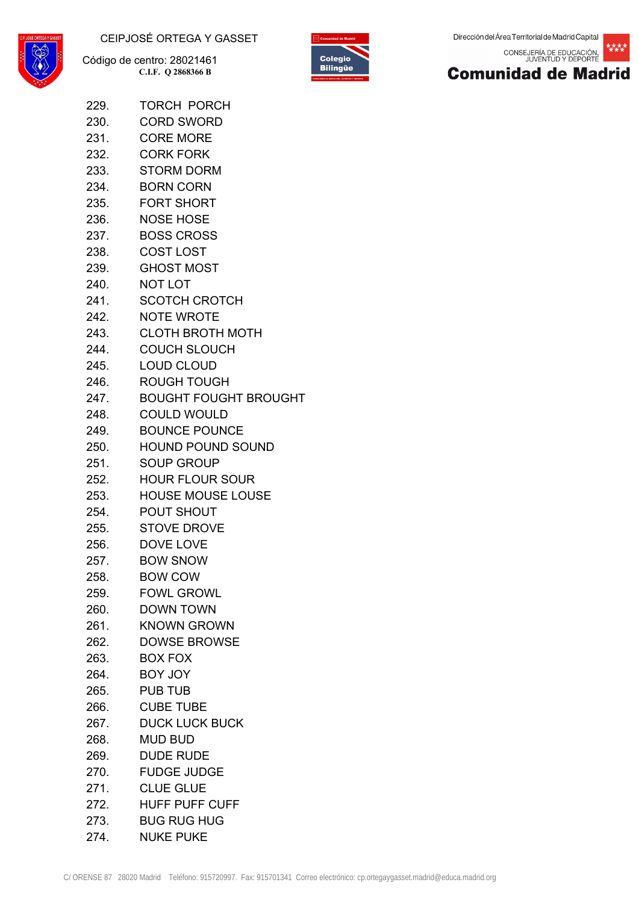

229. TORCH PORCH 230. CORD SWORD



CONSEJERÍA DE EDUCACIÓN,<br>JUVENTUD Y DEPORTE 核糖



|      | 231. CORE MORE                                                  |
|------|-----------------------------------------------------------------|
|      | 232. CORK FORK                                                  |
|      | 233. STORM DORM                                                 |
|      | 234. BORN CORN                                                  |
|      | 235. FORT SHORT                                                 |
|      | 236. NOSE HOSE                                                  |
|      | 237. BOSS CROSS                                                 |
|      | 238. COST LOST                                                  |
|      | 239. GHOST MOST                                                 |
|      | 240. NOT LOT                                                    |
|      | 241. SCOTCH CROTCH                                              |
|      | 242. NOTE WROTE                                                 |
|      | 243. CLOTH BROTH MOTH                                           |
|      | 244. COUCH SLOUCH                                               |
|      | 245. LOUD CLOUD                                                 |
|      | 246. ROUGH TOUGH                                                |
|      | 247. BOUGHT FOUGHT BROUGHT                                      |
|      | 248. COULD WOULD                                                |
|      | 249. BOUNCE POUNCE                                              |
|      | 250. HOUND POUND SOUND                                          |
| 251. | SOUP GROUP                                                      |
|      | 252. HOUR FLOUR SOUR                                            |
|      | 253. HOUSE MOUSE LOUSE                                          |
|      | 254. POUT SHOUT                                                 |
|      | 255. STOVE DROVE                                                |
|      | 256. DOVE LOVE                                                  |
|      | 257. BOW SNOW                                                   |
|      | 258. BOW COW                                                    |
|      | 259. FOWL GROWL                                                 |
|      | 260. DOWN TOWN                                                  |
|      | 261. KNOWN GROWN                                                |
|      | 262. DOWSE BROWSE                                               |
|      | 263. BOX FOX                                                    |
|      | 264. BOY JOY                                                    |
|      | 265. PUB TUB                                                    |
|      | 266. CUBE TUBE                                                  |
|      | 267. DUCK LUCK BUCK                                             |
| 268. | MUD BUD                                                         |
|      | 269. DUDE RUDE                                                  |
| 270. | <b>FUDGE JUDGE</b>                                              |
|      | 271. CLUE GLUE                                                  |
|      | 272. HUFF PUFF CUFF                                             |
|      | 273. BUG RUG HUG                                                |
|      | 274. NUKE PUKE                                                  |
|      | ENSE 87 28020 Madrid Teléfono: 915720997. Fax: 915701341 Correo |